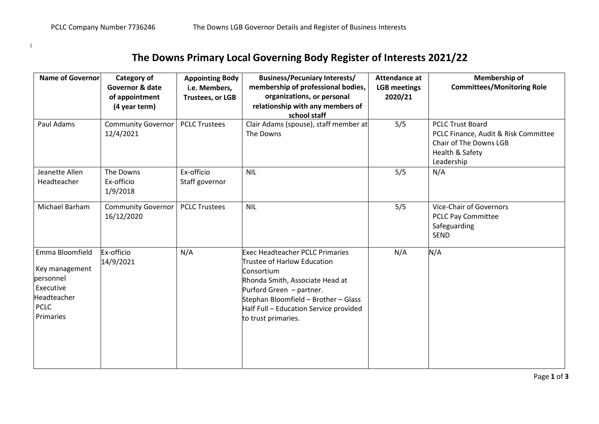i

## **The Downs Primary Local Governing Body Register of Interests 2021/22**

| <b>Name of Governor</b>                                                                                | Category of<br>Governor & date<br>of appointment<br>(4 year term) | <b>Appointing Body</b><br>i.e. Members,<br><b>Trustees, or LGB</b> | <b>Business/Pecuniary Interests/</b><br>membership of professional bodies,<br>organizations, or personal<br>relationship with any members of                                                                                                                | Attendance at<br><b>LGB</b> meetings<br>2020/21 | <b>Membership of</b><br><b>Committees/Monitoring Role</b>                                                                  |
|--------------------------------------------------------------------------------------------------------|-------------------------------------------------------------------|--------------------------------------------------------------------|-------------------------------------------------------------------------------------------------------------------------------------------------------------------------------------------------------------------------------------------------------------|-------------------------------------------------|----------------------------------------------------------------------------------------------------------------------------|
| Paul Adams                                                                                             | <b>Community Governor</b><br>12/4/2021                            | <b>PCLC Trustees</b>                                               | school staff<br>Clair Adams (spouse), staff member at<br>The Downs                                                                                                                                                                                          | 5/5                                             | <b>PCLC Trust Board</b><br>PCLC Finance, Audit & Risk Committee<br>Chair of The Downs LGB<br>Health & Safety<br>Leadership |
| Jeanette Allen<br>Headteacher                                                                          | The Downs<br>Ex-officio<br>1/9/2018                               | Ex-officio<br>Staff governor                                       | <b>NIL</b>                                                                                                                                                                                                                                                  | 5/5                                             | N/A                                                                                                                        |
| Michael Barham                                                                                         | <b>Community Governor</b><br>16/12/2020                           | <b>PCLC Trustees</b>                                               | <b>NIL</b>                                                                                                                                                                                                                                                  | 5/5                                             | <b>Vice-Chair of Governors</b><br><b>PCLC Pay Committee</b><br>Safeguarding<br><b>SEND</b>                                 |
| Emma Bloomfield<br>Key management<br>personnel<br>Executive<br>Headteacher<br><b>PCLC</b><br>Primaries | Ex-officio<br>14/9/2021                                           | N/A                                                                | <b>Exec Headteacher PCLC Primaries</b><br>Trustee of Harlow Education<br>Consortium<br>Rhonda Smith, Associate Head at<br>Purford Green - partner.<br>Stephan Bloomfield - Brother - Glass<br>Half Full - Education Service provided<br>to trust primaries. | N/A                                             | N/A                                                                                                                        |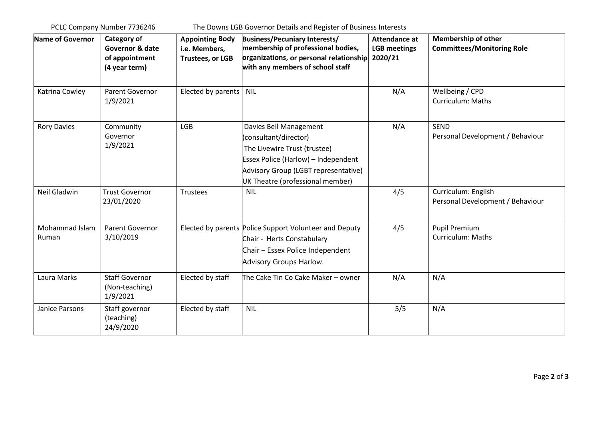PCLC Company Number 7736246 The Downs LGB Governor Details and Register of Business Interests

| Name of Governor        | Category of<br>Governor & date<br>of appointment<br>(4 year term) | <b>Appointing Body</b><br>i.e. Members,<br><b>Trustees, or LGB</b> | <b>Business/Pecuniary Interests/</b><br>membership of professional bodies,<br>organizations, or personal relationship<br>with any members of school staff                                                | <b>Attendance at</b><br><b>LGB</b> meetings<br>2020/21 | <b>Membership of other</b><br><b>Committees/Monitoring Role</b> |
|-------------------------|-------------------------------------------------------------------|--------------------------------------------------------------------|----------------------------------------------------------------------------------------------------------------------------------------------------------------------------------------------------------|--------------------------------------------------------|-----------------------------------------------------------------|
| Katrina Cowley          | Parent Governor<br>1/9/2021                                       | Elected by parents   NIL                                           |                                                                                                                                                                                                          | N/A                                                    | Wellbeing / CPD<br>Curriculum: Maths                            |
| <b>Rory Davies</b>      | Community<br>Governor<br>1/9/2021                                 | <b>LGB</b>                                                         | Davies Bell Management<br>consultant/director)<br>The Livewire Trust (trustee)<br><b>Essex Police (Harlow) - Independent</b><br>Advisory Group (LGBT representative)<br>UK Theatre (professional member) | N/A                                                    | <b>SEND</b><br>Personal Development / Behaviour                 |
| Neil Gladwin            | <b>Trust Governor</b><br>23/01/2020                               | Trustees                                                           | <b>NIL</b>                                                                                                                                                                                               | 4/5                                                    | Curriculum: English<br>Personal Development / Behaviour         |
| Mohammad Islam<br>Ruman | Parent Governor<br>3/10/2019                                      |                                                                    | Elected by parents Police Support Volunteer and Deputy<br>Chair - Herts Constabulary<br>Chair - Essex Police Independent<br>Advisory Groups Harlow.                                                      | 4/5                                                    | <b>Pupil Premium</b><br><b>Curriculum: Maths</b>                |
| Laura Marks             | <b>Staff Governor</b><br>(Non-teaching)<br>1/9/2021               | Elected by staff                                                   | The Cake Tin Co Cake Maker - owner                                                                                                                                                                       | N/A                                                    | N/A                                                             |
| Janice Parsons          | Staff governor<br>(teaching)<br>24/9/2020                         | Elected by staff                                                   | <b>NIL</b>                                                                                                                                                                                               | 5/5                                                    | N/A                                                             |